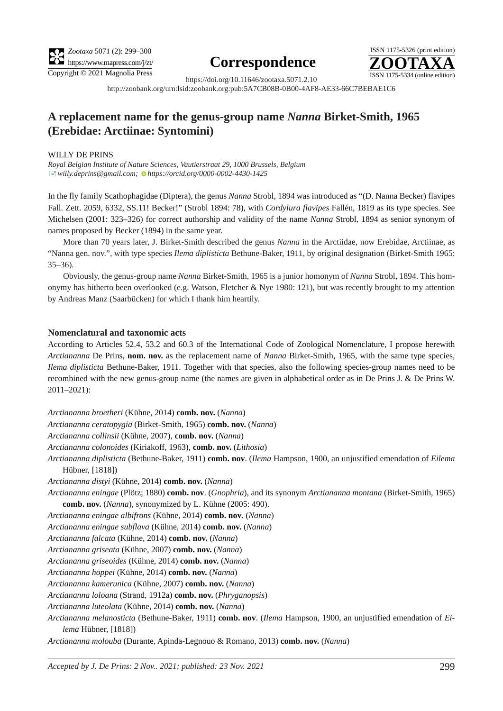# **Correspondence**



https://doi.org/10.11646/zootaxa.5071.2.10 http://zoobank.org/urn:lsid:zoobank.org:pub:5A7CB08B-0B00-4AF8-AE33-66C7BEBAE1C6

# **A replacement name for the genus-group name** *Nanna* **Birket-Smith, 1965 (Erebidae: Arctiinae: Syntomini)**

### WILLY DE PRINS

*Royal Belgian Institute of Nature Sciences, Vautierstraat 29, 1000 Brussels, Belgium* [�](mailto:willy.deprins@gmail.com)*willy.deprins@gmail.com; [h](https://orcid.org/0000-0002-4430-1425)ttps://orcid.org/0000-0002-4430-1425*

In the fly family Scathophagidae (Diptera), the genus *Nanna* Strobl, 1894 was introduced as "(D. Nanna Becker) flavipes Fall. Zett. 2059, 6332, SS.11! Becker!" (Strobl 1894: 78), with *Cordylura flavipes* Fallén, 1819 as its type species. See Michelsen (2001: 323–326) for correct authorship and validity of the name *Nanna* Strobl, 1894 as senior synonym of names proposed by Becker (1894) in the same year.

More than 70 years later, J. Birket-Smith described the genus *Nanna* in the Arctiidae, now Erebidae, Arctiinae, as "Nanna gen. nov.", with type species *Ilema diplisticta* Bethune-Baker, 1911, by original designation (Birket-Smith 1965:  $35-36$ ).

Obviously, the genus-group name *Nanna* Birket-Smith, 1965 is a junior homonym of *Nanna* Strobl, 1894. This homonymy has hitherto been overlooked (e.g. Watson, Fletcher & Nye 1980: 121), but was recently brought to my attention by Andreas Manz (Saarbücken) for which I thank him heartily.

## **Nomenclatural and taxonomic acts**

According to Articles 52.4, 53.2 and 60.3 of the International Code of Zoological Nomenclature, I propose herewith *Arctiananna* De Prins, **nom. nov.** as the replacement name of *Nanna* Birket-Smith, 1965, with the same type species, *Ilema diplisticta* Bethune-Baker, 1911. Together with that species, also the following species-group names need to be recombined with the new genus-group name (the names are given in alphabetical order as in de Prins J. & De Prins W. 2011–2021):

*Arctiananna broetheri* (Kühne, 2014) **comb. nov.** (*Nanna*)

*Arctiananna ceratopygia* (Birket-Smith, 1965) **comb. nov.** (*Nanna*)

*Arctiananna collinsii* (Kühne, 2007), **comb. nov.** (*Nanna*)

*Arctiananna colonoides* (Kiriakoff, 1963), **comb. nov.** (*Lithosia*)

*Arctiananna diplisticta* (Bethune-Baker, 1911) **comb. nov**. (*Ilema* Hampson, 1900, an unjustified emendation of *Eilema* Hübner, [1818])

*Arctiananna distyi* (Kühne, 2014) **comb. nov.** (*Nanna*)

*Arctiananna eningae* (Plötz; 1880) **comb. nov**. (*Gnophria*), and its synonym *Arctiananna montana* (Birket-Smith, 1965) **comb. nov.** (*Nanna*), synonymized by L. Kühne (2005: 490).

*Arctiananna eningae albifrons* (Kühne, 2014) **comb. nov**. (*Nanna*)

*Arctiananna eningae subflava* (Kühne, 2014) **comb. nov.** (*Nanna*)

*Arctiananna falcata* (Kühne, 2014) **comb. nov.** (*Nanna*)

*Arctiananna griseata* (Kühne, 2007) **comb. nov.** (*Nanna*)

*Arctiananna griseoides* (Kühne, 2014) **comb. nov.** (*Nanna*)

*Arctiananna hoppei* (Kühne, 2014) **comb. nov.** (*Nanna*)

*Arctiananna kamerunica* (Kühne, 2007) **comb. nov.** (*Nanna*)

*Arctiananna loloana* (Strand, 1912a) **comb. nov.** (*Phryganopsis*)

*Arctiananna luteolata* (Kühne, 2014) **comb. nov.** (*Nanna*)

*Arctiananna melanosticta* (Bethune-Baker, 1911) **comb. nov**. (*Ilema* Hampson, 1900, an unjustified emendation of *Eilema* Hübner, [1818])

*Arctiananna molouba* (Durante, Apinda-Legnouo & Romano, 2013) **comb. nov.** (*Nanna*)